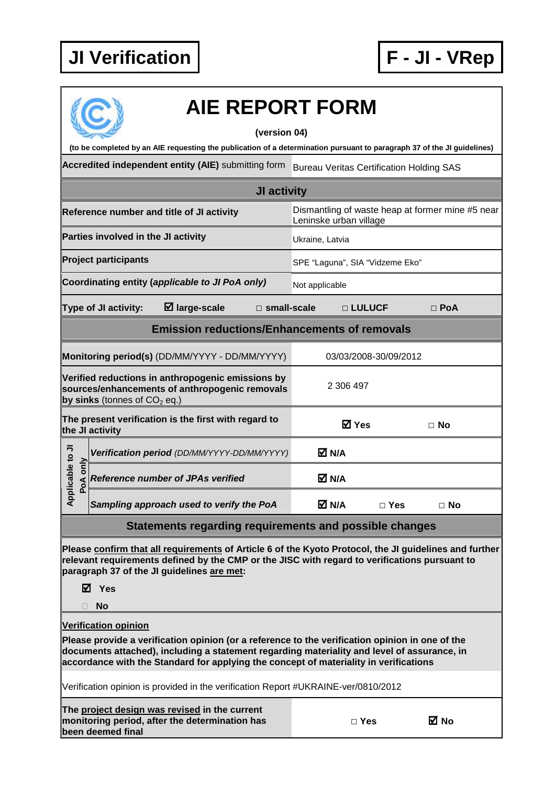

| <b>AIE REPORT FORM</b>                                                                                                                                                                                                                                                                  |                                                                                                                                       |                                                                            |                       |            |  |  |  |  |
|-----------------------------------------------------------------------------------------------------------------------------------------------------------------------------------------------------------------------------------------------------------------------------------------|---------------------------------------------------------------------------------------------------------------------------------------|----------------------------------------------------------------------------|-----------------------|------------|--|--|--|--|
| (version 04)<br>(to be completed by an AIE requesting the publication of a determination pursuant to paragraph 37 of the JI guidelines)                                                                                                                                                 |                                                                                                                                       |                                                                            |                       |            |  |  |  |  |
| Accredited independent entity (AIE) submitting form                                                                                                                                                                                                                                     |                                                                                                                                       |                                                                            |                       |            |  |  |  |  |
| <b>Bureau Veritas Certification Holding SAS</b>                                                                                                                                                                                                                                         |                                                                                                                                       |                                                                            |                       |            |  |  |  |  |
| JI activity                                                                                                                                                                                                                                                                             |                                                                                                                                       |                                                                            |                       |            |  |  |  |  |
|                                                                                                                                                                                                                                                                                         | Reference number and title of JI activity                                                                                             | Dismantling of waste heap at former mine #5 near<br>Leninske urban village |                       |            |  |  |  |  |
|                                                                                                                                                                                                                                                                                         | Parties involved in the JI activity                                                                                                   | Ukraine, Latvia                                                            |                       |            |  |  |  |  |
|                                                                                                                                                                                                                                                                                         | <b>Project participants</b>                                                                                                           | SPE "Laguna", SIA "Vidzeme Eko"                                            |                       |            |  |  |  |  |
|                                                                                                                                                                                                                                                                                         | Coordinating entity (applicable to JI PoA only)                                                                                       | Not applicable                                                             |                       |            |  |  |  |  |
|                                                                                                                                                                                                                                                                                         | $\boxtimes$ large-scale<br><b>Type of JI activity:</b><br>$\square$ small-scale                                                       | □ LULUCF                                                                   |                       | $\Box$ PoA |  |  |  |  |
| <b>Emission reductions/Enhancements of removals</b>                                                                                                                                                                                                                                     |                                                                                                                                       |                                                                            |                       |            |  |  |  |  |
|                                                                                                                                                                                                                                                                                         | Monitoring period(s) (DD/MM/YYYY - DD/MM/YYYY)                                                                                        |                                                                            | 03/03/2008-30/09/2012 |            |  |  |  |  |
|                                                                                                                                                                                                                                                                                         | Verified reductions in anthropogenic emissions by<br>sources/enhancements of anthropogenic removals<br>by sinks (tonnes of $CO2$ eq.) | 2 306 497                                                                  |                       |            |  |  |  |  |
|                                                                                                                                                                                                                                                                                         | The present verification is the first with regard to<br>the JI activity                                                               | <b>☑</b> Yes                                                               |                       | $\Box$ No  |  |  |  |  |
|                                                                                                                                                                                                                                                                                         | Verification period (DD/MM/YYYY-DD/MM/YYYY)                                                                                           | M N/A                                                                      |                       |            |  |  |  |  |
| pplicable to JI<br>PoA only                                                                                                                                                                                                                                                             | <b>Reference number of JPAs verified</b>                                                                                              | M N/A                                                                      |                       |            |  |  |  |  |
| ∢                                                                                                                                                                                                                                                                                       | Sampling approach used to verify the PoA                                                                                              | M N/A                                                                      | $\square$ Yes         | $\Box$ No  |  |  |  |  |
| Statements regarding requirements and possible changes                                                                                                                                                                                                                                  |                                                                                                                                       |                                                                            |                       |            |  |  |  |  |
| Please confirm that all requirements of Article 6 of the Kyoto Protocol, the JI guidelines and further<br>relevant requirements defined by the CMP or the JISC with regard to verifications pursuant to<br>paragraph 37 of the JI guidelines are met:<br>⊠ Yes<br><b>No</b>             |                                                                                                                                       |                                                                            |                       |            |  |  |  |  |
| <b>Verification opinion</b>                                                                                                                                                                                                                                                             |                                                                                                                                       |                                                                            |                       |            |  |  |  |  |
| Please provide a verification opinion (or a reference to the verification opinion in one of the<br>documents attached), including a statement regarding materiality and level of assurance, in<br>accordance with the Standard for applying the concept of materiality in verifications |                                                                                                                                       |                                                                            |                       |            |  |  |  |  |
| Verification opinion is provided in the verification Report #UKRAINE-ver/0810/2012                                                                                                                                                                                                      |                                                                                                                                       |                                                                            |                       |            |  |  |  |  |
|                                                                                                                                                                                                                                                                                         | The project design was revised in the current<br>monitoring period, after the determination has<br>been deemed final                  | $\Box$ Yes                                                                 |                       | ⊠ No       |  |  |  |  |